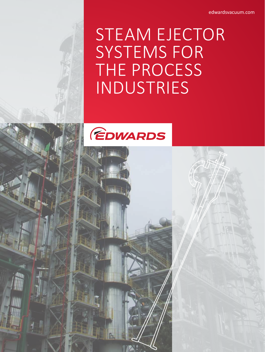edwardsvacuum.com

# STEAM EJECTOR SYSTEMS FOR THE PROCESS INDUSTRIES



EDWARDS STEAM ENTITLE STEAM ENTITLE STEAM ENTITLE STEAM ENTITLE STEAM ENTITLE STEAM ENTITLE STEAM ENTITLE STEAM ENTITLE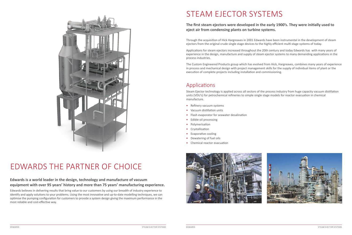

Through the acquisition of Hick Hargreaves in 2001 Edwards have been instrumental in the development of steam ejectors from the original crude single stage devices to the highly efficient multi stage systems of today.

Applications for steam ejectors increased throughout the 20th century and today Edwards has with many years of experience in the design, manufacture and supply of steam ejector systems to many demanding applications in the process industries.

The Custom Engineered Products group which has evolved from Hick, Hargreaves, combines many years of experience in process and mechanical design with project management skills for the supply of individual items of plant or the execution of complete projects including installation and commissioning.

## Applications

Steam Ejector technology is applied across all sectors of the process industry from huge capacity vacuum distillation units (VDU's) for petrochemical refineries to simple single stage models for reactor evacuation in chemical manufacture.

- Refinery vacuum systems
- Vacuum distillation units
- Flash evaporator for seawater desalination
- Edible oil processing
- Polymerisation
- Crystallisation
- Evaporative cooling
- Dewatering of fuel oils
- Chemical reactor evacuation





## EDWARDS THE PARTNER OF CHOICE

### **Edwards is a world leader in the design, technology and manufacture of vacuum equipment with over 95 years' history and more than 75 years' manufacturing experience.**

Edwards believes in delivering results that bring value to our customers by using our breadth of industry experience to identify and apply solutions to your problems. Using the most innovative and up-to-date modelling techniques, we can optimise the pumping configuration for customers to provide a system design giving the maximum performance in the most reliable and cost-effective way.

## STEAM EJECTOR SYSTEMS

### **The first steam ejectors were developed in the early 1900's. They were initially used to eject air from condensing plants on turbine systems.**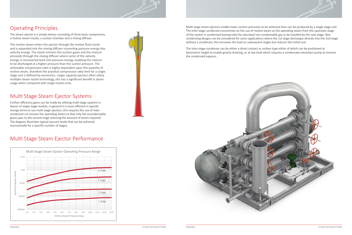



The inter-stage condenser can be either a direct contact or surface type either of which can be positioned at barometric height to enable gravity draining, or at low level which requires a condensate extraction pump to remove the condensed vapours.





### Operating Principles

The steam ejector is a simple device consisting of three basic components, a motive steam nozzle, a suction chamber and a mixing diffuser.

The motive steam enters the ejector through the motive fluid nozzle and is expanded into the mixing diffuser converting pressure energy into velocity energy. The steam entrains the suction gases and the mixture proceeds through the mixing diffuser where some of the velocity energy is reconverted back into pressure energy, enabling the mixture to be discharged at a higher pressure than the suction pressure. The achievable compression ratio is highly dependent upon the quantity of motive steam, therefore the practical compression ratio limit for a single stage unit is defined by economics. Larger capacity ejectors often utilise multiple steam nozzle technology, this has a significant benefit is steam usage when compared with single nozzle units.

### Multi Stage Steam Ejector Systems

Further efficiency gains can be made by utilising multi stage systems in favour of single stage models, in general it is more efficient in specific energy terms to use multi stage ejectors, this requires the use of intercondensers to remove the operating steam so that only the incondensable gases pass to the second stage reducing the amount of steam required. The diagram illustrates typical vacuum levels that can be achieved economically for a specific number of stages.

### Multi Stage Steam Ejector Performance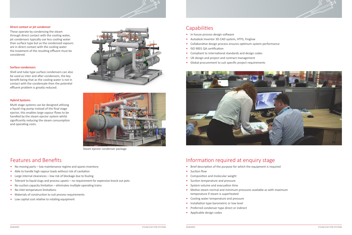- In house process design software
- Autodesk Inventor 3D CAD system, HTFS, Finglow
- Collaborative design process ensures optimum system performance
- ISO 9001 QA certification
- Compliant to international standards and design codes
- UK design and project and contract management
- Global procurement to suit specific project requirements



### Features and Benefits

- No moving parts low maintenance regime and spares inventory
- Able to handle high vapour loads without risk of cavitation
- Large internal clearances low risk of blockage due to fouling
- Tolerant to liquid slugs and process upsets no requirement for expensive knock out pots
- No suction capacity limitation eliminates multiple operating trains
- No inlet temperature limitations
- Materials of construction to suit process requirements
- Low capital cost relative to rotating equipment

### **Capabilities**

#### **Direct contact or jet condenser**

These operate by condensing the steam through direct contact with the cooling water, jet condensers typically use less cooling water than surface type but as the condensed vapours are in direct contact with the cooling water the treatment of the resulting effluent must be considered.

#### **Surface condensers**

Shell and tube type surface condensers can also be used as inter and after condensers, the key benefit being that as the cooling water is not in contact with the condensate then the potential effluent problem is greatly reduced.

#### **Hybrid Systems**

Multi stage systems can be designed utilising a liquid ring pump instead of the final stage ejector, this enables large vapour flows to be handled by the steam ejector system whilst significantly reducing the steam consumption and operating costs.





Steam ejector condenser package

### Information required at enquiry stage

- Brief description of the purpose for which the equipment is required
- Suction flow
- Composition and molecular weight
- Suction temperature and pressure
- System volume and evacuation time
- Motive steam normal and minimum pressures available as with maximum temperature if steam is superheated
- Cooling water temperature and pressure
- Installation type barometric or low level
- Preferred condenser type direct or indirect
- Applicable design codes